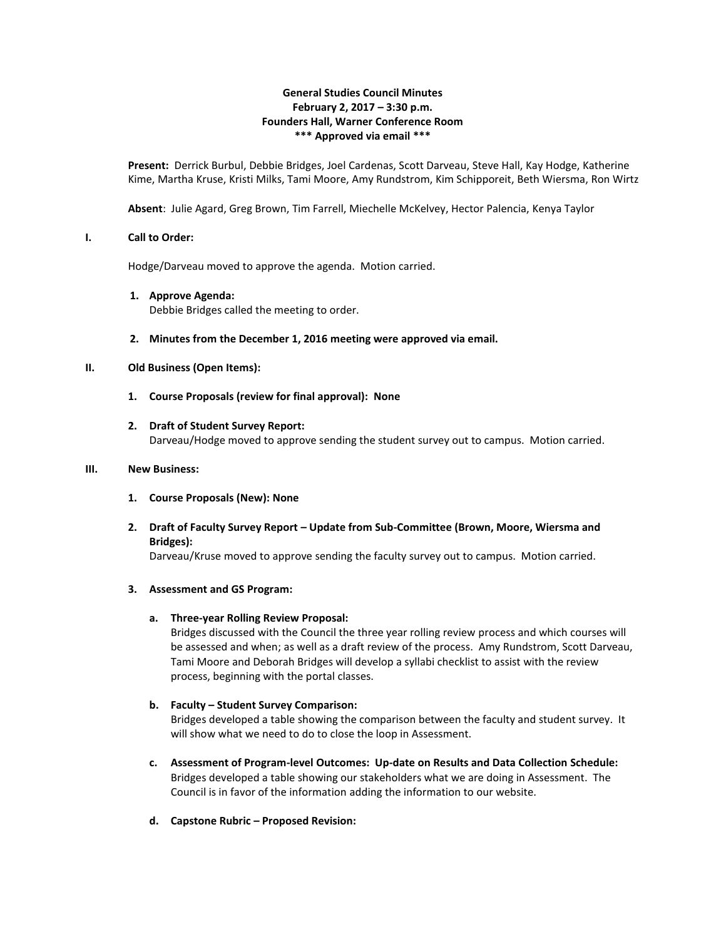### **General Studies Council Minutes February 2, 2017 – 3:30 p.m. Founders Hall, Warner Conference Room \*\*\* Approved via email \*\*\***

**Present:** Derrick Burbul, Debbie Bridges, Joel Cardenas, Scott Darveau, Steve Hall, Kay Hodge, Katherine Kime, Martha Kruse, Kristi Milks, Tami Moore, Amy Rundstrom, Kim Schipporeit, Beth Wiersma, Ron Wirtz

**Absent**: Julie Agard, Greg Brown, Tim Farrell, Miechelle McKelvey, Hector Palencia, Kenya Taylor

### **I. Call to Order:**

Hodge/Darveau moved to approve the agenda. Motion carried.

#### **1. Approve Agenda:**

Debbie Bridges called the meeting to order.

**2. Minutes from the December 1, 2016 meeting were approved via email.**

### **II. Old Business (Open Items):**

**1. Course Proposals (review for final approval): None**

### **2. Draft of Student Survey Report:**

Darveau/Hodge moved to approve sending the student survey out to campus. Motion carried.

### **III. New Business:**

- **1. Course Proposals (New): None**
- **2. Draft of Faculty Survey Report – Update from Sub-Committee (Brown, Moore, Wiersma and Bridges):**

Darveau/Kruse moved to approve sending the faculty survey out to campus. Motion carried.

## **3. Assessment and GS Program:**

## **a. Three-year Rolling Review Proposal:**

Bridges discussed with the Council the three year rolling review process and which courses will be assessed and when; as well as a draft review of the process. Amy Rundstrom, Scott Darveau, Tami Moore and Deborah Bridges will develop a syllabi checklist to assist with the review process, beginning with the portal classes.

## **b. Faculty – Student Survey Comparison:**

Bridges developed a table showing the comparison between the faculty and student survey. It will show what we need to do to close the loop in Assessment.

- **c. Assessment of Program-level Outcomes: Up-date on Results and Data Collection Schedule:** Bridges developed a table showing our stakeholders what we are doing in Assessment. The Council is in favor of the information adding the information to our website.
- **d. Capstone Rubric – Proposed Revision:**